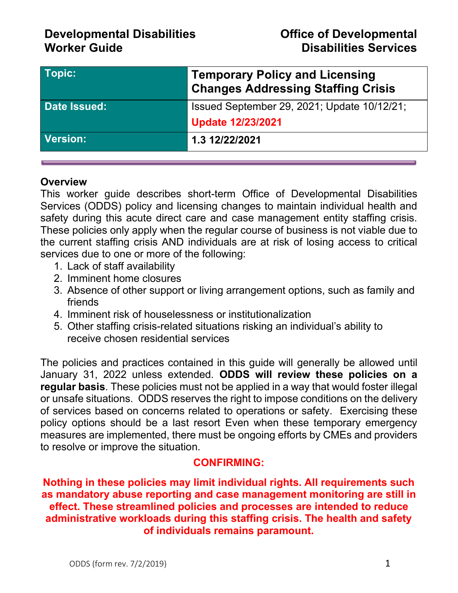| Topic:       | <b>Temporary Policy and Licensing</b><br><b>Changes Addressing Staffing Crisis</b> |
|--------------|------------------------------------------------------------------------------------|
| Date Issued: | Issued September 29, 2021; Update 10/12/21;                                        |
|              | <b>Update 12/23/2021</b>                                                           |
| Version:     | 1.3 12/22/2021                                                                     |

### **Overview**

This worker guide describes short-term Office of Developmental Disabilities Services (ODDS) policy and licensing changes to maintain individual health and safety during this acute direct care and case management entity staffing crisis. These policies only apply when the regular course of business is not viable due to the current staffing crisis AND individuals are at risk of losing access to critical services due to one or more of the following:

- 1. Lack of staff availability
- 2. Imminent home closures
- 3. Absence of other support or living arrangement options, such as family and friends
- 4. Imminent risk of houselessness or institutionalization
- 5. Other staffing crisis-related situations risking an individual's ability to receive chosen residential services

The policies and practices contained in this guide will generally be allowed until January 31, 2022 unless extended. **ODDS will review these policies on a regular basis**. These policies must not be applied in a way that would foster illegal or unsafe situations. ODDS reserves the right to impose conditions on the delivery of services based on concerns related to operations or safety. Exercising these policy options should be a last resort Even when these temporary emergency measures are implemented, there must be ongoing efforts by CMEs and providers to resolve or improve the situation.

### **CONFIRMING:**

**Nothing in these policies may limit individual rights. All requirements such as mandatory abuse reporting and case management monitoring are still in effect. These streamlined policies and processes are intended to reduce administrative workloads during this staffing crisis. The health and safety of individuals remains paramount.**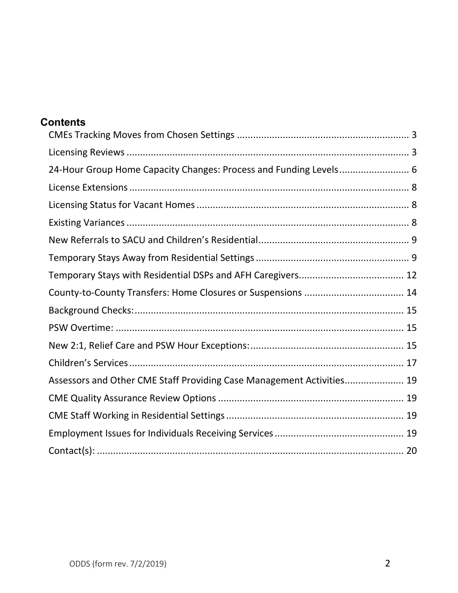| 24-Hour Group Home Capacity Changes: Process and Funding Levels 6     |
|-----------------------------------------------------------------------|
|                                                                       |
|                                                                       |
|                                                                       |
|                                                                       |
|                                                                       |
|                                                                       |
|                                                                       |
|                                                                       |
|                                                                       |
|                                                                       |
|                                                                       |
| Assessors and Other CME Staff Providing Case Management Activities 19 |
|                                                                       |
|                                                                       |
|                                                                       |
|                                                                       |
|                                                                       |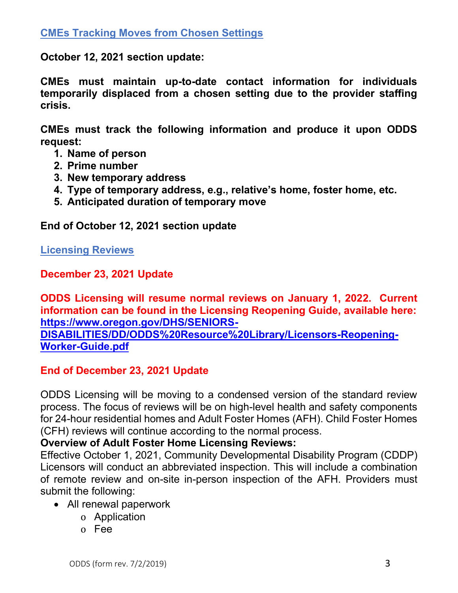<span id="page-2-0"></span>**October 12, 2021 section update:**

**CMEs must maintain up-to-date contact information for individuals temporarily displaced from a chosen setting due to the provider staffing crisis.**

**CMEs must track the following information and produce it upon ODDS request:**

- **1. Name of person**
- **2. Prime number**
- **3. New temporary address**
- **4. Type of temporary address, e.g., relative's home, foster home, etc.**
- **5. Anticipated duration of temporary move**

**End of October 12, 2021 section update**

<span id="page-2-1"></span>**Licensing Reviews**

**December 23, 2021 Update** 

**ODDS Licensing will resume normal reviews on January 1, 2022. Current information can be found in the Licensing Reopening Guide, available here: [https://www.oregon.gov/DHS/SENIORS-](https://www.oregon.gov/DHS/SENIORS-DISABILITIES/DD/ODDS%20Resource%20Library/Licensors-Reopening-Worker-Guide.pdf)**

**[DISABILITIES/DD/ODDS%20Resource%20Library/Licensors-Reopening-](https://www.oregon.gov/DHS/SENIORS-DISABILITIES/DD/ODDS%20Resource%20Library/Licensors-Reopening-Worker-Guide.pdf)[Worker-Guide.pdf](https://www.oregon.gov/DHS/SENIORS-DISABILITIES/DD/ODDS%20Resource%20Library/Licensors-Reopening-Worker-Guide.pdf)**

## **End of December 23, 2021 Update**

ODDS Licensing will be moving to a condensed version of the standard review process. The focus of reviews will be on high-level health and safety components for 24-hour residential homes and Adult Foster Homes (AFH). Child Foster Homes (CFH) reviews will continue according to the normal process.

## **Overview of Adult Foster Home Licensing Reviews:**

Effective October 1, 2021, Community Developmental Disability Program (CDDP) Licensors will conduct an abbreviated inspection. This will include a combination of remote review and on-site in-person inspection of the AFH. Providers must submit the following:

- All renewal paperwork
	- o Application
	- o Fee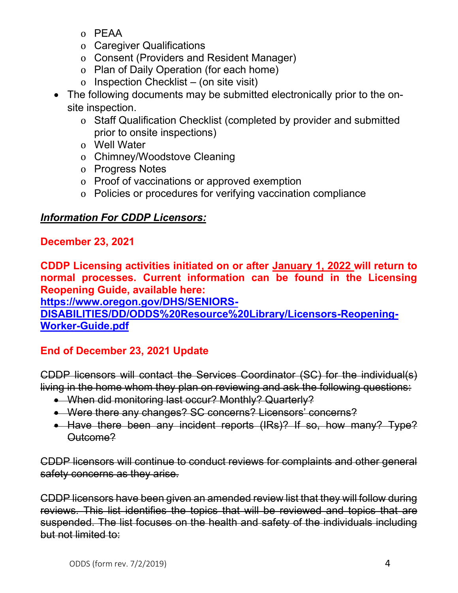- o PEAA
- o Caregiver Qualifications
- o Consent (Providers and Resident Manager)
- o Plan of Daily Operation (for each home)
- o Inspection Checklist (on site visit)
- The following documents may be submitted electronically prior to the onsite inspection.
	- o Staff Qualification Checklist (completed by provider and submitted prior to onsite inspections)
	- o Well Water
	- o Chimney/Woodstove Cleaning
	- o Progress Notes
	- o Proof of vaccinations or approved exemption
	- o Policies or procedures for verifying vaccination compliance

## *Information For CDDP Licensors:*

### **December 23, 2021**

**CDDP Licensing activities initiated on or after January 1, 2022 will return to normal processes. Current information can be found in the Licensing Reopening Guide, available here:**

**[https://www.oregon.gov/DHS/SENIORS-](https://www.oregon.gov/DHS/SENIORS-DISABILITIES/DD/ODDS%20Resource%20Library/Licensors-Reopening-Worker-Guide.pdf)**

**[DISABILITIES/DD/ODDS%20Resource%20Library/Licensors-Reopening-](https://www.oregon.gov/DHS/SENIORS-DISABILITIES/DD/ODDS%20Resource%20Library/Licensors-Reopening-Worker-Guide.pdf)[Worker-Guide.pdf](https://www.oregon.gov/DHS/SENIORS-DISABILITIES/DD/ODDS%20Resource%20Library/Licensors-Reopening-Worker-Guide.pdf)**

# **End of December 23, 2021 Update**

CDDP licensors will contact the Services Coordinator (SC) for the individual(s) living in the home whom they plan on reviewing and ask the following questions:

- When did monitoring last occur? Monthly? Quarterly?
- Were there any changes? SC concerns? Licensors' concerns?
- Have there been any incident reports (IRs)? If so, how many? Type? Outcome?

CDDP licensors will continue to conduct reviews for complaints and other general safety concerns as they arise.

CDDP licensors have been given an amended review list that they will follow during reviews. This list identifies the topics that will be reviewed and topics that are suspended. The list focuses on the health and safety of the individuals including but not limited to: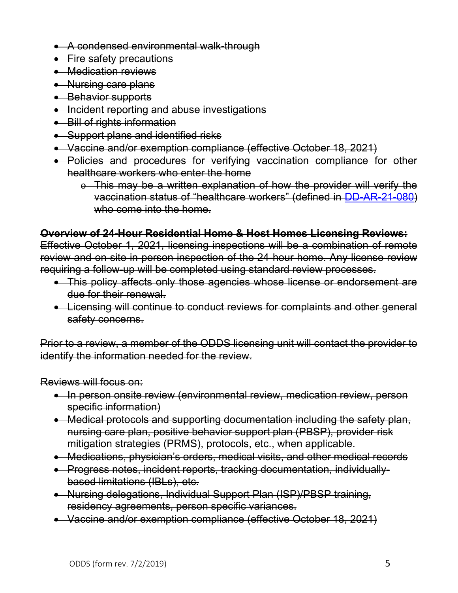- A condensed environmental walk-through
- Fire safety precautions
- Medication reviews
- Nursing care plans
- Behavior supports
- Incident reporting and abuse investigations
- Bill of rights information
- Support plans and identified risks
- Vaccine and/or exemption compliance (effective October 18, 2021)
- Policies and procedures for verifying vaccination compliance for other healthcare workers who enter the home
	- o This may be a written explanation of how the provider will verify the vaccination status of "healthcare workers" (defined in [DD-AR-21-080\)](https://www.oregon.gov/dhs/SENIORS-DISABILITIES/DD/Transmittals/21080.pdf) who come into the home.

### **Overview of 24-Hour Residential Home & Host Homes Licensing Reviews:**

Effective October 1, 2021, licensing inspections will be a combination of remote review and on-site in person inspection of the 24-hour home. Any license review requiring a follow-up will be completed using standard review processes.

- This policy affects only those agencies whose license or endorsement are due for their renewal.
- Licensing will continue to conduct reviews for complaints and other general safety concerns.

Prior to a review, a member of the ODDS licensing unit will contact the provider to identify the information needed for the review.

Reviews will focus on:

- In person onsite review (environmental review, medication review, person specific information)
- Medical protocols and supporting documentation including the safety plan, nursing care plan, positive behavior support plan (PBSP), provider risk mitigation strategies (PRMS), protocols, etc., when applicable.
- Medications, physician's orders, medical visits, and other medical records
- Progress notes, incident reports, tracking documentation, individuallybased limitations (IBLs), etc.
- Nursing delegations, Individual Support Plan (ISP)/PBSP training, residency agreements, person specific variances.
- Vaccine and/or exemption compliance (effective October 18, 2021)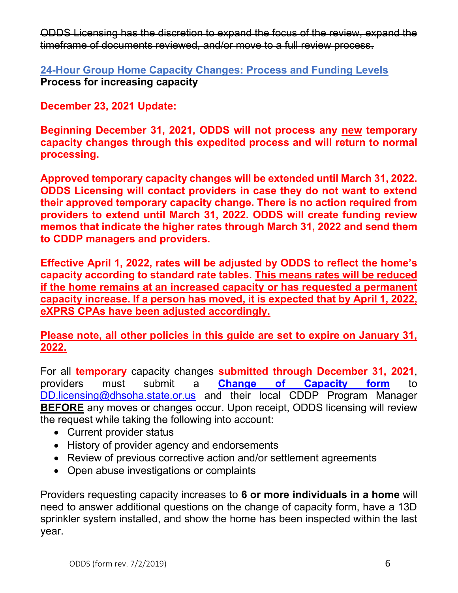ODDS Licensing has the discretion to expand the focus of the review, expand the timeframe of documents reviewed, and/or move to a full review process.

<span id="page-5-0"></span>**24-Hour Group Home Capacity Changes: Process and Funding Levels Process for increasing capacity**

**December 23, 2021 Update:**

**Beginning December 31, 2021, ODDS will not process any new temporary capacity changes through this expedited process and will return to normal processing.** 

**Approved temporary capacity changes will be extended until March 31, 2022. ODDS Licensing will contact providers in case they do not want to extend their approved temporary capacity change. There is no action required from providers to extend until March 31, 2022. ODDS will create funding review memos that indicate the higher rates through March 31, 2022 and send them to CDDP managers and providers.** 

**Effective April 1, 2022, rates will be adjusted by ODDS to reflect the home's capacity according to standard rate tables. This means rates will be reduced if the home remains at an increased capacity or has requested a permanent capacity increase. If a person has moved, it is expected that by April 1, 2022, eXPRS CPAs have been adjusted accordingly.** 

**Please note, all other policies in this guide are set to expire on January 31, 2022.** 

For all **temporary** capacity changes **submitted through December 31, 2021**, providers must submit a **[Change of Capacity form](https://www.oregon.gov/dhs/SENIORS-DISABILITIES/DD/ODDS%20Resource%20Library/ODDS-Provider-Change-Capacity-Form.pdf)** to [DD.licensing@dhsoha.state.or.us](mailto:DD.licensing@dhsoha.state.or.us) and their local CDDP Program Manager **BEFORE** any moves or changes occur. Upon receipt, ODDS licensing will review the request while taking the following into account:

- Current provider status
- History of provider agency and endorsements
- Review of previous corrective action and/or settlement agreements
- Open abuse investigations or complaints

Providers requesting capacity increases to **6 or more individuals in a home** will need to answer additional questions on the change of capacity form, have a 13D sprinkler system installed, and show the home has been inspected within the last year.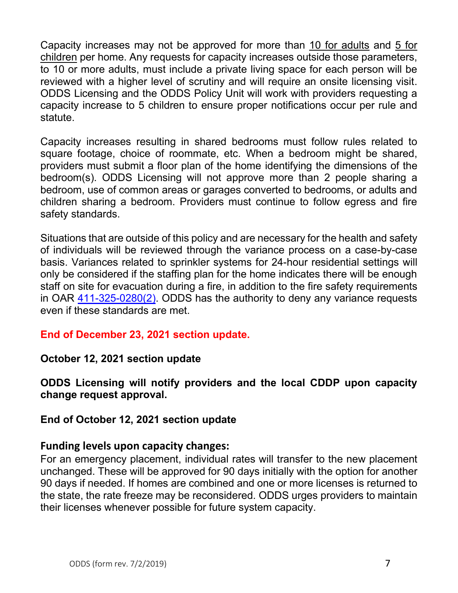Capacity increases may not be approved for more than 10 for adults and 5 for children per home. Any requests for capacity increases outside those parameters, to 10 or more adults, must include a private living space for each person will be reviewed with a higher level of scrutiny and will require an onsite licensing visit. ODDS Licensing and the ODDS Policy Unit will work with providers requesting a capacity increase to 5 children to ensure proper notifications occur per rule and statute.

Capacity increases resulting in shared bedrooms must follow rules related to square footage, choice of roommate, etc. When a bedroom might be shared, providers must submit a floor plan of the home identifying the dimensions of the bedroom(s). ODDS Licensing will not approve more than 2 people sharing a bedroom, use of common areas or garages converted to bedrooms, or adults and children sharing a bedroom. Providers must continue to follow egress and fire safety standards.

Situations that are outside of this policy and are necessary for the health and safety of individuals will be reviewed through the variance process on a case-by-case basis. Variances related to sprinkler systems for 24-hour residential settings will only be considered if the staffing plan for the home indicates there will be enough staff on site for evacuation during a fire, in addition to the fire safety requirements in OAR [411-325-0280\(2\).](https://www.oregon.gov/DHS/SENIORS-DISABILITIES/DD/ODDSRules/411-325.pdf) ODDS has the authority to deny any variance requests even if these standards are met.

## **End of December 23, 2021 section update.**

**October 12, 2021 section update**

**ODDS Licensing will notify providers and the local CDDP upon capacity change request approval.** 

### **End of October 12, 2021 section update**

### **Funding levels upon capacity changes:**

For an emergency placement, individual rates will transfer to the new placement unchanged. These will be approved for 90 days initially with the option for another 90 days if needed. If homes are combined and one or more licenses is returned to the state, the rate freeze may be reconsidered. ODDS urges providers to maintain their licenses whenever possible for future system capacity.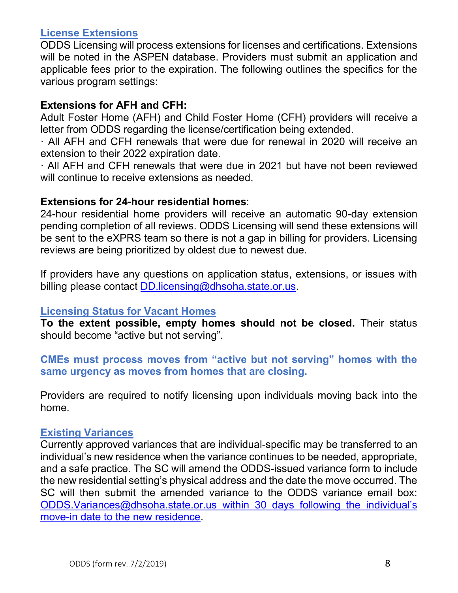#### <span id="page-7-0"></span>**License Extensions**

ODDS Licensing will process extensions for licenses and certifications. Extensions will be noted in the ASPEN database. Providers must submit an application and applicable fees prior to the expiration. The following outlines the specifics for the various program settings:

#### **Extensions for AFH and CFH:**

Adult Foster Home (AFH) and Child Foster Home (CFH) providers will receive a letter from ODDS regarding the license/certification being extended.

· All AFH and CFH renewals that were due for renewal in 2020 will receive an extension to their 2022 expiration date.

· All AFH and CFH renewals that were due in 2021 but have not been reviewed will continue to receive extensions as needed.

#### **Extensions for 24-hour residential homes**:

24-hour residential home providers will receive an automatic 90-day extension pending completion of all reviews. ODDS Licensing will send these extensions will be sent to the eXPRS team so there is not a gap in billing for providers. Licensing reviews are being prioritized by oldest due to newest due.

If providers have any questions on application status, extensions, or issues with billing please contact [DD.licensing@dhsoha.state.or.us.](mailto:DD.licensing@dhsoha.state.or.us)

#### <span id="page-7-1"></span>**Licensing Status for Vacant Homes**

**To the extent possible, empty homes should not be closed.** Their status should become "active but not serving".

### **CMEs must process moves from "active but not serving" homes with the same urgency as moves from homes that are closing.**

Providers are required to notify licensing upon individuals moving back into the home.

#### <span id="page-7-2"></span>**Existing Variances**

Currently approved variances that are individual-specific may be transferred to an individual's new residence when the variance continues to be needed, appropriate, and a safe practice. The SC will amend the ODDS-issued variance form to include the new residential setting's physical address and the date the move occurred. The SC will then submit the amended variance to the ODDS variance email box: [ODDS.Variances@dhsoha.state.or.us](mailto:ODDS.Variances@dhsoha.state.or.us) within 30 days following the individual's move-in date to the new residence.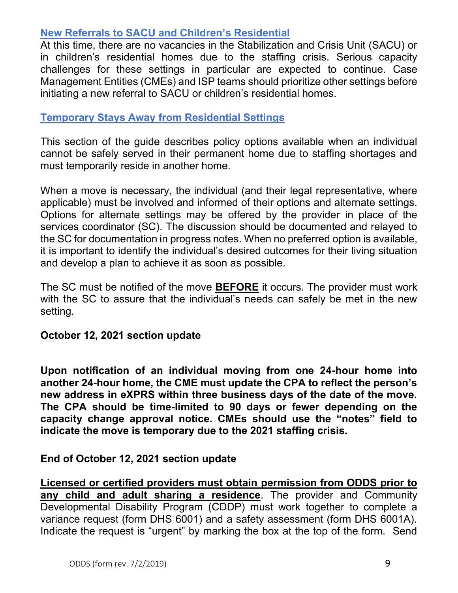### <span id="page-8-0"></span>**New Referrals to SACU and Children's Residential**

At this time, there are no vacancies in the Stabilization and Crisis Unit (SACU) or in children's residential homes due to the staffing crisis. Serious capacity challenges for these settings in particular are expected to continue. Case Management Entities (CMEs) and ISP teams should prioritize other settings before initiating a new referral to SACU or children's residential homes.

### <span id="page-8-1"></span>**Temporary Stays Away from Residential Settings**

This section of the guide describes policy options available when an individual cannot be safely served in their permanent home due to staffing shortages and must temporarily reside in another home.

When a move is necessary, the individual (and their legal representative, where applicable) must be involved and informed of their options and alternate settings. Options for alternate settings may be offered by the provider in place of the services coordinator (SC). The discussion should be documented and relayed to the SC for documentation in progress notes. When no preferred option is available, it is important to identify the individual's desired outcomes for their living situation and develop a plan to achieve it as soon as possible.

The SC must be notified of the move **BEFORE** it occurs. The provider must work with the SC to assure that the individual's needs can safely be met in the new setting.

### **October 12, 2021 section update**

**Upon notification of an individual moving from one 24-hour home into another 24-hour home, the CME must update the CPA to reflect the person's new address in eXPRS within three business days of the date of the move. The CPA should be time-limited to 90 days or fewer depending on the capacity change approval notice. CMEs should use the "notes" field to indicate the move is temporary due to the 2021 staffing crisis.** 

### **End of October 12, 2021 section update**

**Licensed or certified providers must obtain permission from ODDS prior to any child and adult sharing a residence**. The provider and Community Developmental Disability Program (CDDP) must work together to complete a variance request (form DHS 6001) and a safety assessment (form DHS 6001A). Indicate the request is "urgent" by marking the box at the top of the form. Send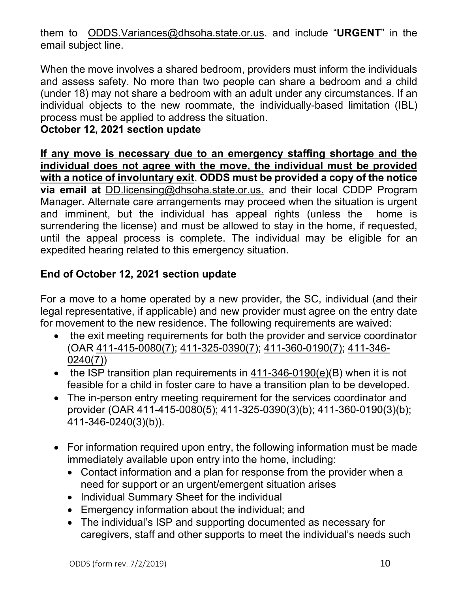them to [ODDS.Variances@dhsoha.state.or.us](mailto:ODDS.Variances@dhsoha.state.or.us). and include "**URGENT**" in the email subject line.

When the move involves a shared bedroom, providers must inform the individuals and assess safety. No more than two people can share a bedroom and a child (under 18) may not share a bedroom with an adult under any circumstances. If an individual objects to the new roommate, the individually-based limitation (IBL) process must be applied to address the situation.

### **October 12, 2021 section update**

**If any move is necessary due to an emergency staffing shortage and the individual does not agree with the move, the individual must be provided with a notice of involuntary exit**. **ODDS must be provided a copy of the notice via email at** [DD.licensing@dhsoha.state.or.us.](mailto:DD.licensing@dhsoha.state.or.us) and their local CDDP Program Manager**.** Alternate care arrangements may proceed when the situation is urgent and imminent, but the individual has appeal rights (unless the home is surrendering the license) and must be allowed to stay in the home, if requested, until the appeal process is complete. The individual may be eligible for an expedited hearing related to this emergency situation.

# **End of October 12, 2021 section update**

For a move to a home operated by a new provider, the SC, individual (and their legal representative, if applicable) and new provider must agree on the entry date for movement to the new residence. The following requirements are waived:

- the exit meeting requirements for both the provider and service coordinator (OAR [411-415-0080\(7\);](https://www.oregon.gov/DHS/SENIORS-DISABILITIES/DD/ODDSRules/411-415-2016-06-29-perm.pdf) [411-325-0390\(7\)](https://www.oregon.gov/DHS/SENIORS-DISABILITIES/DD/ODDSRules/411-325.pdf); [411-360-0190\(7\);](https://www.oregon.gov/DHS/SENIORS-DISABILITIES/DD/ODDSRules/411-360.pdf) [411-346-](https://www.oregon.gov/dhs/SENIORS-DISABILITIES/DD/ODDSRules/411-346-2021-03-01-Perm.pdf) [0240\(7\)\)](https://www.oregon.gov/dhs/SENIORS-DISABILITIES/DD/ODDSRules/411-346-2021-03-01-Perm.pdf)
- the ISP transition plan requirements in [411-346-0190\(e\)\(](https://www.oregon.gov/dhs/SENIORS-DISABILITIES/DD/ODDSRules/411-346-2021-03-01-Perm.pdf)B) when it is not feasible for a child in foster care to have a transition plan to be developed.
- The in-person entry meeting requirement for the services coordinator and provider (OAR 411-415-0080(5); 411-325-0390(3)(b); 411-360-0190(3)(b); 411-346-0240(3)(b)).
- For information required upon entry, the following information must be made immediately available upon entry into the home, including:
	- Contact information and a plan for response from the provider when a need for support or an urgent/emergent situation arises
	- Individual Summary Sheet for the individual
	- Emergency information about the individual; and
	- The individual's ISP and supporting documented as necessary for caregivers, staff and other supports to meet the individual's needs such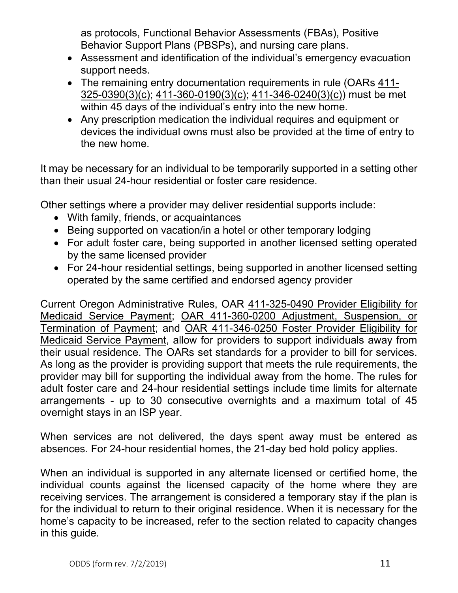as protocols, Functional Behavior Assessments (FBAs), Positive Behavior Support Plans (PBSPs), and nursing care plans.

- Assessment and identification of the individual's emergency evacuation support needs.
- The remaining entry documentation requirements in rule (OARs [411-](https://www.oregon.gov/DHS/SENIORS-DISABILITIES/DD/ODDSRules/411-325.pdf) [325-0390\(3\)\(c\);](https://www.oregon.gov/DHS/SENIORS-DISABILITIES/DD/ODDSRules/411-325.pdf) [411-360-0190\(3\)\(c\);](https://www.oregon.gov/DHS/SENIORS-DISABILITIES/DD/ODDSRules/411-360.pdf) [411-346-0240\(3\)\(c\)\)](https://www.oregon.gov/dhs/SENIORS-DISABILITIES/DD/ODDSRules/411-346-2021-03-01-Perm.pdf) must be met within 45 days of the individual's entry into the new home.
- Any prescription medication the individual requires and equipment or devices the individual owns must also be provided at the time of entry to the new home.

It may be necessary for an individual to be temporarily supported in a setting other than their usual 24-hour residential or foster care residence.

Other settings where a provider may deliver residential supports include:

- With family, friends, or acquaintances
- Being supported on vacation/in a hotel or other temporary lodging
- For adult foster care, being supported in another licensed setting operated by the same licensed provider
- For 24-hour residential settings, being supported in another licensed setting operated by the same certified and endorsed agency provider

Current Oregon Administrative Rules, OAR [411-325-0490 Provider Eligibility for](https://www.oregon.gov/DHS/SENIORS-DISABILITIES/DD/ODDSRules/411-325.pdf)  [Medicaid Service Payment;](https://www.oregon.gov/DHS/SENIORS-DISABILITIES/DD/ODDSRules/411-325.pdf) [OAR 411-360-0200 Adjustment, Suspension, or](https://www.oregon.gov/DHS/SENIORS-DISABILITIES/DD/ODDSRules/411-360.pdf)  [Termination of Payment;](https://www.oregon.gov/DHS/SENIORS-DISABILITIES/DD/ODDSRules/411-360.pdf) and [OAR 411-346-0250 Foster Provider Eligibility for](https://www.oregon.gov/dhs/SENIORS-DISABILITIES/DD/ODDSRules/411-346-2021-03-01-Perm.pdf)  [Medicaid Service Payment,](https://www.oregon.gov/dhs/SENIORS-DISABILITIES/DD/ODDSRules/411-346-2021-03-01-Perm.pdf) allow for providers to support individuals away from their usual residence. The OARs set standards for a provider to bill for services. As long as the provider is providing support that meets the rule requirements, the provider may bill for supporting the individual away from the home. The rules for adult foster care and 24-hour residential settings include time limits for alternate arrangements - up to 30 consecutive overnights and a maximum total of 45 overnight stays in an ISP year.

When services are not delivered, the days spent away must be entered as absences. For 24-hour residential homes, the 21-day bed hold policy applies.

When an individual is supported in any alternate licensed or certified home, the individual counts against the licensed capacity of the home where they are receiving services. The arrangement is considered a temporary stay if the plan is for the individual to return to their original residence. When it is necessary for the home's capacity to be increased, refer to the section related to capacity changes in this guide.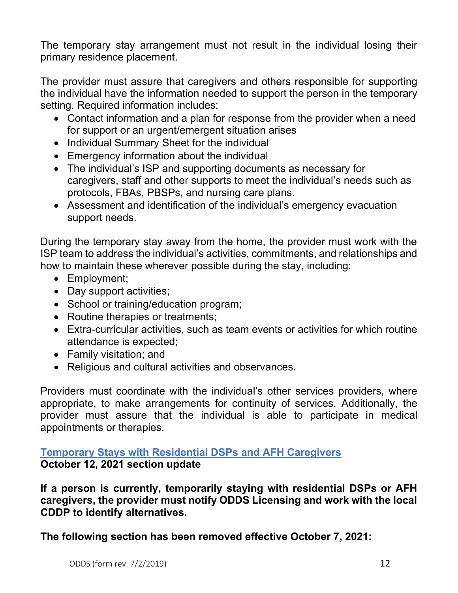The temporary stay arrangement must not result in the individual losing their primary residence placement.

The provider must assure that caregivers and others responsible for supporting the individual have the information needed to support the person in the temporary setting. Required information includes:

- Contact information and a plan for response from the provider when a need for support or an urgent/emergent situation arises
- Individual Summary Sheet for the individual
- Emergency information about the individual
- The individual's ISP and supporting documents as necessary for caregivers, staff and other supports to meet the individual's needs such as protocols, FBAs, PBSPs, and nursing care plans.
- Assessment and identification of the individual's emergency evacuation support needs.

During the temporary stay away from the home, the provider must work with the ISP team to address the individual's activities, commitments, and relationships and how to maintain these wherever possible during the stay, including:

- Employment;
- Day support activities;
- School or training/education program;
- Routine therapies or treatments;
- Extra-curricular activities, such as team events or activities for which routine attendance is expected;
- Family visitation; and
- Religious and cultural activities and observances.

Providers must coordinate with the individual's other services providers, where appropriate, to make arrangements for continuity of services. Additionally, the provider must assure that the individual is able to participate in medical appointments or therapies.

### <span id="page-11-0"></span>**Temporary Stays with Residential DSPs and AFH Caregivers October 12, 2021 section update**

**If a person is currently, temporarily staying with residential DSPs or AFH caregivers, the provider must notify ODDS Licensing and work with the local CDDP to identify alternatives.** 

**The following section has been removed effective October 7, 2021:**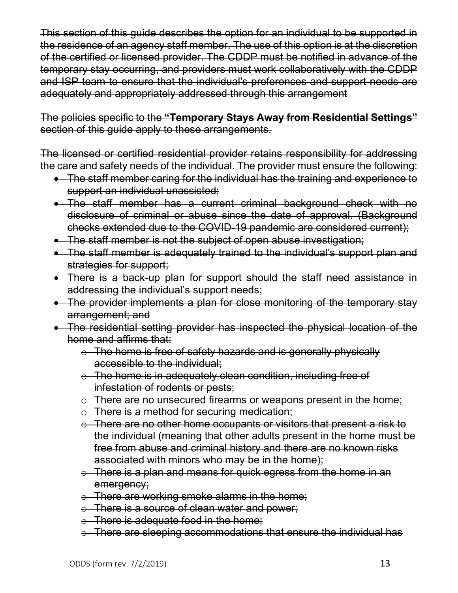This section of this guide describes the option for an individual to be supported in the residence of an agency staff member. The use of this option is at the discretion of the certified or licensed provider. The CDDP must be notified in advance of the temporary stay occurring, and providers must work collaboratively with the CDDP and ISP team to ensure that the individual's preferences and support needs are adequately and appropriately addressed through this arrangement

The policies specific to the **"Temporary Stays Away from Residential Settings"** section of this quide apply to these arrangements.

The licensed or certified residential provider retains responsibility for addressing the care and safety needs of the individual. The provider must ensure the following:

- The staff member caring for the individual has the training and experience to support an individual unassisted;
- The staff member has a current criminal background check with no disclosure of criminal or abuse since the date of approval. (Background checks extended due to the COVID-19 pandemic are considered current);
- The staff member is not the subject of open abuse investigation;
- The staff member is adequately trained to the individual's support plan and strategies for support;
- There is a back-up plan for support should the staff need assistance in addressing the individual's support needs;
- The provider implements a plan for close monitoring of the temporary stay arrangement; and
- The residential setting provider has inspected the physical location of the home and affirms that:
	- $\circ$  The home is free of safety hazards and is generally physically accessible to the individual;
	- $\circ$  The home is in adequately clean condition, including free of infestation of rodents or pests;
	- $\odot$  There are no unsecured firearms or weapons present in the home;
	- o There is a method for securing medication:
	- $\odot$  There are no other home occupants or visitors that present a risk to the individual (meaning that other adults present in the home must be free from abuse and criminal history and there are no known risks associated with minors who may be in the home);
	- $\circ$  There is a plan and means for quick egress from the home in an emergency;
	- $\circ$  There are working smoke alarms in the home;
	- $\circ$  There is a source of clean water and power;
	- o There is adequate food in the home;
	- $\circ$  There are sleeping accommodations that ensure the individual has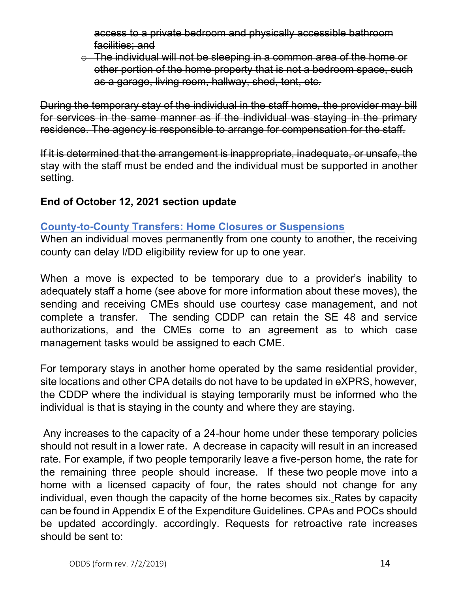access to a private bedroom and physically accessible bathroom facilities; and

 $\circ$  The individual will not be sleeping in a common area of the home or other portion of the home property that is not a bedroom space, such as a garage, living room, hallway, shed, tent, etc.

During the temporary stay of the individual in the staff home, the provider may bill for services in the same manner as if the individual was staying in the primary residence. The agency is responsible to arrange for compensation for the staff.

If it is determined that the arrangement is inappropriate, inadequate, or unsafe, the stay with the staff must be ended and the individual must be supported in another setting.

## **End of October 12, 2021 section update**

### <span id="page-13-0"></span>**County-to-County Transfers: Home Closures or Suspensions**

When an individual moves permanently from one county to another, the receiving county can delay I/DD eligibility review for up to one year.

When a move is expected to be temporary due to a provider's inability to adequately staff a home (see above for more information about these moves), the sending and receiving CMEs should use courtesy case management, and not complete a transfer. The sending CDDP can retain the SE 48 and service authorizations, and the CMEs come to an agreement as to which case management tasks would be assigned to each CME.

For temporary stays in another home operated by the same residential provider, site locations and other CPA details do not have to be updated in eXPRS, however, the CDDP where the individual is staying temporarily must be informed who the individual is that is staying in the county and where they are staying.

Any increases to the capacity of a 24-hour home under these temporary policies should not result in a lower rate. A decrease in capacity will result in an increased rate. For example, if two people temporarily leave a five-person home, the rate for the remaining three people should increase. If these two people move into a home with a licensed capacity of four, the rates should not change for any individual, even though the capacity of the home becomes six. Rates by capacity can be found in Appendix E of the Expenditure Guidelines. CPAs and POCs should be updated accordingly. accordingly. Requests for retroactive rate increases should be sent to: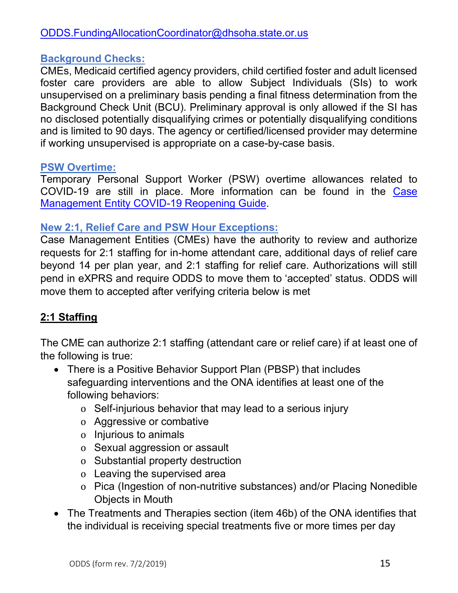## <span id="page-14-0"></span>**Background Checks:**

CMEs, Medicaid certified agency providers, child certified foster and adult licensed foster care providers are able to allow Subject Individuals (SIs) to work unsupervised on a preliminary basis pending a final fitness determination from the Background Check Unit (BCU). Preliminary approval is only allowed if the SI has no disclosed potentially disqualifying crimes or potentially disqualifying conditions and is limited to 90 days. The agency or certified/licensed provider may determine if working unsupervised is appropriate on a case-by-case basis.

### <span id="page-14-1"></span>**PSW Overtime:**

Temporary Personal Support Worker (PSW) overtime allowances related to COVID-19 are still in place. More information can be found in the [Case](https://www.oregon.gov/dhs/SENIORS-DISABILITIES/DD/ODDS%20Resource%20Library/Case-Management-Reopening-Worker-Guide.pdf)  [Management Entity COVID-19 Reopening Guide.](https://www.oregon.gov/dhs/SENIORS-DISABILITIES/DD/ODDS%20Resource%20Library/Case-Management-Reopening-Worker-Guide.pdf)

### <span id="page-14-2"></span>**New 2:1, Relief Care and PSW Hour Exceptions:**

Case Management Entities (CMEs) have the authority to review and authorize requests for 2:1 staffing for in-home attendant care, additional days of relief care beyond 14 per plan year, and 2:1 staffing for relief care. Authorizations will still pend in eXPRS and require ODDS to move them to 'accepted' status. ODDS will move them to accepted after verifying criteria below is met

## **2:1 Staffing**

The CME can authorize 2:1 staffing (attendant care or relief care) if at least one of the following is true:

- There is a Positive Behavior Support Plan (PBSP) that includes safeguarding interventions and the ONA identifies at least one of the following behaviors:
	- o Self-injurious behavior that may lead to a serious injury
	- o Aggressive or combative
	- o Injurious to animals
	- o Sexual aggression or assault
	- o Substantial property destruction
	- o Leaving the supervised area
	- o Pica (Ingestion of non-nutritive substances) and/or Placing Nonedible Objects in Mouth
- The Treatments and Therapies section (item 46b) of the ONA identifies that the individual is receiving special treatments five or more times per day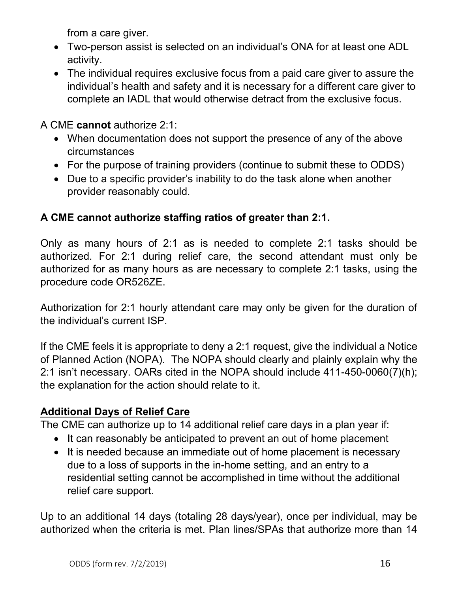from a care giver.

- Two-person assist is selected on an individual's ONA for at least one ADL activity.
- The individual requires exclusive focus from a paid care giver to assure the individual's health and safety and it is necessary for a different care giver to complete an IADL that would otherwise detract from the exclusive focus.

A CME **cannot** authorize 2:1:

- When documentation does not support the presence of any of the above circumstances
- For the purpose of training providers (continue to submit these to ODDS)
- Due to a specific provider's inability to do the task alone when another provider reasonably could.

# **A CME cannot authorize staffing ratios of greater than 2:1.**

Only as many hours of 2:1 as is needed to complete 2:1 tasks should be authorized. For 2:1 during relief care, the second attendant must only be authorized for as many hours as are necessary to complete 2:1 tasks, using the procedure code OR526ZE.

Authorization for 2:1 hourly attendant care may only be given for the duration of the individual's current ISP.

If the CME feels it is appropriate to deny a 2:1 request, give the individual a Notice of Planned Action (NOPA). The NOPA should clearly and plainly explain why the 2:1 isn't necessary. OARs cited in the NOPA should include 411-450-0060(7)(h); the explanation for the action should relate to it.

## **Additional Days of Relief Care**

The CME can authorize up to 14 additional relief care days in a plan year if:

- It can reasonably be anticipated to prevent an out of home placement
- It is needed because an immediate out of home placement is necessary due to a loss of supports in the in-home setting, and an entry to a residential setting cannot be accomplished in time without the additional relief care support.

Up to an additional 14 days (totaling 28 days/year), once per individual, may be authorized when the criteria is met. Plan lines/SPAs that authorize more than 14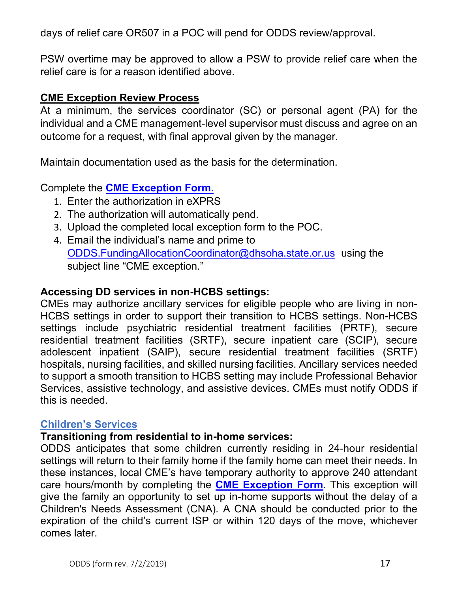days of relief care OR507 in a POC will pend for ODDS review/approval.

PSW overtime may be approved to allow a PSW to provide relief care when the relief care is for a reason identified above.

### **CME Exception Review Process**

At a minimum, the services coordinator (SC) or personal agent (PA) for the individual and a CME management-level supervisor must discuss and agree on an outcome for a request, with final approval given by the manager.

Maintain documentation used as the basis for the determination.

### Complete the **[CME Exception](https://www.oregon.gov/dhs/SENIORS-DISABILITIES/DD/ODDS%20Resource%20Library/ODDS-CME-Exception-Form.pdf) Form**.

- 1. Enter the authorization in eXPRS
- 2. The authorization will automatically pend.
- 3. Upload the completed local exception form to the POC.
- 4. Email the individual's name and prime to [ODDS.FundingAllocationCoordinator@dhsoha.state.or.us](mailto:ODDS.FundingAllocationCoordinator@dhsoha.state.or.us) using the subject line "CME exception."

### **Accessing DD services in non-HCBS settings:**

CMEs may authorize ancillary services for eligible people who are living in non-HCBS settings in order to support their transition to HCBS settings. Non-HCBS settings include psychiatric residential treatment facilities (PRTF), secure residential treatment facilities (SRTF), secure inpatient care (SCIP), secure adolescent inpatient (SAIP), secure residential treatment facilities (SRTF) hospitals, nursing facilities, and skilled nursing facilities. Ancillary services needed to support a smooth transition to HCBS setting may include Professional Behavior Services, assistive technology, and assistive devices. CMEs must notify ODDS if this is needed.

### <span id="page-16-0"></span>**Children's Services**

### **Transitioning from residential to in-home services:**

ODDS anticipates that some children currently residing in 24-hour residential settings will return to their family home if the family home can meet their needs. In these instances, local CME's have temporary authority to approve 240 attendant care hours/month by completing the **CME [Exception Form](https://www.oregon.gov/dhs/SENIORS-DISABILITIES/DD/ODDS%20Resource%20Library/ODDS-CME-Exception-Form.pdf)**. This exception will give the family an opportunity to set up in-home supports without the delay of a Children's Needs Assessment (CNA). A CNA should be conducted prior to the expiration of the child's current ISP or within 120 days of the move, whichever comes later.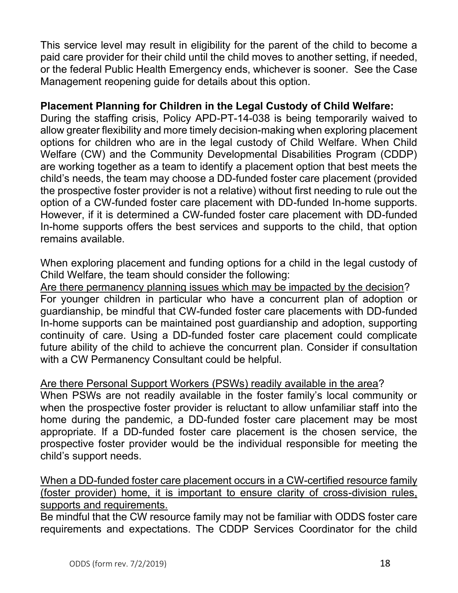This service level may result in eligibility for the parent of the child to become a paid care provider for their child until the child moves to another setting, if needed, or the federal Public Health Emergency ends, whichever is sooner. See the Case Management reopening guide for details about this option.

### **Placement Planning for Children in the Legal Custody of Child Welfare:**

During the staffing crisis, Policy APD-PT-14-038 is being temporarily waived to allow greater flexibility and more timely decision-making when exploring placement options for children who are in the legal custody of Child Welfare. When Child Welfare (CW) and the Community Developmental Disabilities Program (CDDP) are working together as a team to identify a placement option that best meets the child's needs, the team may choose a DD-funded foster care placement (provided the prospective foster provider is not a relative) without first needing to rule out the option of a CW-funded foster care placement with DD-funded In-home supports. However, if it is determined a CW-funded foster care placement with DD-funded In-home supports offers the best services and supports to the child, that option remains available.

When exploring placement and funding options for a child in the legal custody of Child Welfare, the team should consider the following:

Are there permanency planning issues which may be impacted by the decision? For younger children in particular who have a concurrent plan of adoption or guardianship, be mindful that CW-funded foster care placements with DD-funded In-home supports can be maintained post guardianship and adoption, supporting continuity of care. Using a DD-funded foster care placement could complicate future ability of the child to achieve the concurrent plan. Consider if consultation with a CW Permanency Consultant could be helpful.

### Are there Personal Support Workers (PSWs) readily available in the area?

When PSWs are not readily available in the foster family's local community or when the prospective foster provider is reluctant to allow unfamiliar staff into the home during the pandemic, a DD-funded foster care placement may be most appropriate. If a DD-funded foster care placement is the chosen service, the prospective foster provider would be the individual responsible for meeting the child's support needs.

When a DD-funded foster care placement occurs in a CW-certified resource family (foster provider) home, it is important to ensure clarity of cross-division rules, supports and requirements.

Be mindful that the CW resource family may not be familiar with ODDS foster care requirements and expectations. The CDDP Services Coordinator for the child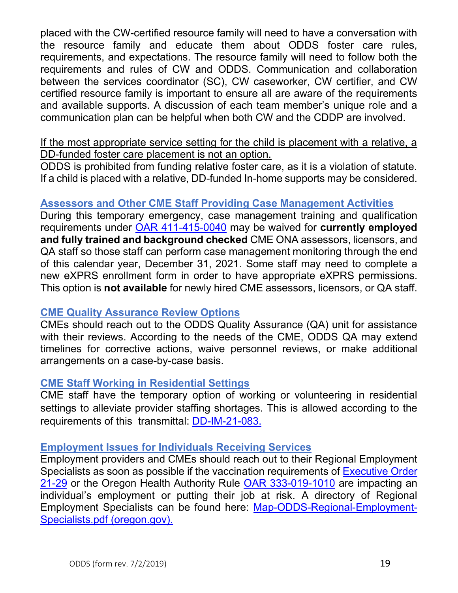placed with the CW-certified resource family will need to have a conversation with the resource family and educate them about ODDS foster care rules, requirements, and expectations. The resource family will need to follow both the requirements and rules of CW and ODDS. Communication and collaboration between the services coordinator (SC), CW caseworker, CW certifier, and CW certified resource family is important to ensure all are aware of the requirements and available supports. A discussion of each team member's unique role and a communication plan can be helpful when both CW and the CDDP are involved.

If the most appropriate service setting for the child is placement with a relative, a DD-funded foster care placement is not an option.

ODDS is prohibited from funding relative foster care, as it is a violation of statute. If a child is placed with a relative, DD-funded In-home supports may be considered.

### <span id="page-18-0"></span>**Assessors and Other CME Staff Providing Case Management Activities**

During this temporary emergency, case management training and qualification requirements under [OAR 411-415-0040](https://www.oregon.gov/dhs/SENIORS-DISABILITIES/DD/ODDSRules/411-415.pdf) may be waived for **currently employed and fully trained and background checked** CME ONA assessors, licensors, and QA staff so those staff can perform case management monitoring through the end of this calendar year, December 31, 2021. Some staff may need to complete a new eXPRS enrollment form in order to have appropriate eXPRS permissions. This option is **not available** for newly hired CME assessors, licensors, or QA staff.

### <span id="page-18-1"></span>**CME Quality Assurance Review Options**

CMEs should reach out to the ODDS Quality Assurance (QA) unit for assistance with their reviews. According to the needs of the CME, ODDS QA may extend timelines for corrective actions, waive personnel reviews, or make additional arrangements on a case-by-case basis.

### <span id="page-18-2"></span>**CME Staff Working in Residential Settings**

CME staff have the temporary option of working or volunteering in residential settings to alleviate provider staffing shortages. This is allowed according to the requirements of this transmittal: [DD-IM-21-083.](https://www.oregon.gov/dhs/SENIORS-DISABILITIES/DD/Transmittals/21083.pdf)

### <span id="page-18-3"></span>**Employment Issues for Individuals Receiving Services**

Employment providers and CMEs should reach out to their Regional Employment Specialists as soon as possible if the vaccination requirements of [Executive Order](https://www.oregon.gov/gov/Documents/executive_orders/eo_21-29.pdf)  [21-29](https://www.oregon.gov/gov/Documents/executive_orders/eo_21-29.pdf) or the Oregon Health Authority Rule [OAR 333-019-1010](https://secure.sos.state.or.us/oard/viewSingleRule.action?ruleVrsnRsn=280799) are impacting an individual's employment or putting their job at risk. A directory of Regional Employment Specialists can be found here: [Map-ODDS-Regional-Employment-](https://www.oregon.gov/dhs/EMPLOYMENT/EMPLOYMENT-FIRST/Documents/Map-ODDS-Regional-Employment-Specialists.pdf)[Specialists.pdf \(oregon.gov\).](https://www.oregon.gov/dhs/EMPLOYMENT/EMPLOYMENT-FIRST/Documents/Map-ODDS-Regional-Employment-Specialists.pdf)